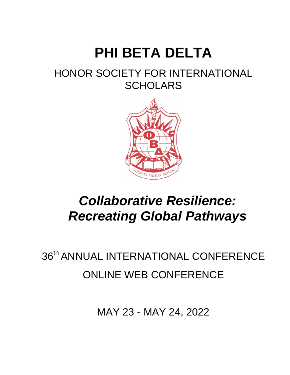# **PHI BETA DELTA**

### HONOR SOCIETY FOR INTERNATIONAL **SCHOLARS**



### *Collaborative Resilience: Recreating Global Pathways*

## 36<sup>th</sup> ANNUAL INTERNATIONAL CONFERENCE ONLINE WEB CONFERENCE

MAY 23 - MAY 24, 2022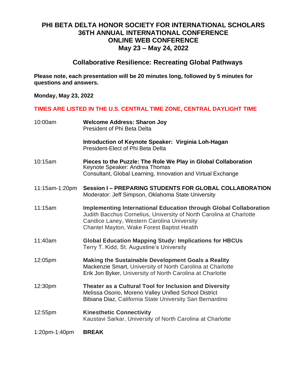#### **PHI BETA DELTA HONOR SOCIETY FOR INTERNATIONAL SCHOLARS 36TH ANNUAL INTERNATIONAL CONFERENCE ONLINE WEB CONFERENCE May 23 – May 24, 2022**

#### **Collaborative Resilience: Recreating Global Pathways**

**Please note, each presentation will be 20 minutes long, followed by 5 minutes for questions and answers.**

**Monday, May 23, 2022**

#### **TIMES ARE LISTED IN THE U.S. CENTRAL TIME ZONE, CENTRAL DAYLIGHT TIME**

| <b>Welcome Address: Sharon Joy</b><br>President of Phi Beta Delta                                                                                                                                                                           |
|---------------------------------------------------------------------------------------------------------------------------------------------------------------------------------------------------------------------------------------------|
| Introduction of Keynote Speaker: Virginia Loh-Hagan<br>President-Elect of Phi Beta Delta                                                                                                                                                    |
| Pieces to the Puzzle: The Role We Play in Global Collaboration<br>Keynote Speaker: Andrea Thomas<br>Consultant, Global Learning, Innovation and Virtual Exchange                                                                            |
| Session I - PREPARING STUDENTS FOR GLOBAL COLLABORATION<br>Moderator: Jeff Simpson, Oklahoma State University                                                                                                                               |
| <b>Implementing International Education through Global Collaboration</b><br>Judith Bacchus Cornelius, University of North Carolina at Charlotte<br>Candice Laney, Western Carolina University<br>Chantel Mayton, Wake Forest Baptist Health |
| <b>Global Education Mapping Study: Implications for HBCUs</b><br>Terry T. Kidd, St. Augustine's University                                                                                                                                  |
| <b>Making the Sustainable Development Goals a Reality</b><br>Mackenzie Smart, University of North Carolina at Charlotte<br>Erik Jon Byker, University of North Carolina at Charlotte                                                        |
| Theater as a Cultural Tool for Inclusion and Diversity<br>Melissa Osorio, Moreno Valley Unified School District<br>Bibiana Diaz, California State University San Bernardino                                                                 |
| <b>Kinesthetic Connectivity</b><br>Kaustavi Sarkar, University of North Carolina at Charlotte                                                                                                                                               |
| <b>BREAK</b>                                                                                                                                                                                                                                |
|                                                                                                                                                                                                                                             |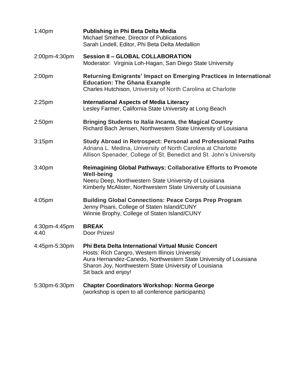| 1:40 <sub>pm</sub>    | Michael Smithee, Director of Publications<br>Sarah Lindell, Editor, Phi Beta Delta Medallion                                                                                                                                                                       |
|-----------------------|--------------------------------------------------------------------------------------------------------------------------------------------------------------------------------------------------------------------------------------------------------------------|
| 2:00pm-4:30pm         | <b>Session II - GLOBAL COLLABORATION</b><br>Moderator: Virginia Loh-Hagan, San Diego State University                                                                                                                                                              |
| 2:00 <sub>pm</sub>    | Returning Emigrants' Impact on Emerging Practices in International<br><b>Education: The Ghana Example</b><br>Charles Hutchison, University of North Carolina at Charlotte                                                                                          |
| $2:25$ pm             | <b>International Aspects of Media Literacy</b><br>Lesley Farmer, California State University at Long Beach                                                                                                                                                         |
| 2:50 <sub>pm</sub>    | Bringing Students to Italia Incanta, the Magical Country<br>Richard Bach Jensen, Northwestern State University of Louisiana                                                                                                                                        |
| 3:15 <sub>pm</sub>    | <b>Study Abroad in Retrospect: Personal and Professional Paths</b><br>Adriana L. Medina, University of North Carolina at Charlotte<br>Allison Spenader, College of St. Benedict and St. John's University                                                          |
| 3:40 <sub>pm</sub>    | <b>Reimagining Global Pathways: Collaborative Efforts to Promote</b><br><b>Well-being</b><br>Neeru Deep, Northwestern State University of Louisiana<br>Kimberly McAlister, Northwestern State University of Louisiana                                              |
| 4:05 <sub>pm</sub>    | <b>Building Global Connections: Peace Corps Prep Program</b><br>Jenny Pisani, College of Staten Island/CUNY<br>Winnie Brophy, College of Staten Island/CUNY                                                                                                        |
| 4:30pm-4:45pm<br>4:40 | <b>BREAK</b><br>Door Prizes!                                                                                                                                                                                                                                       |
| 4:45pm-5:30pm         | <b>Phi Beta Delta International Virtual Music Concert</b><br>Hosts: Rich Cangro, Western Illinois University<br>Aura Hernandez-Canedo, Northwestern State University of Louisiana<br>Sharon Joy, Northwestern State University of Louisiana<br>Sit back and enjoy! |
| 5:30pm-6:30pm         | <b>Chapter Coordinators Workshop: Norma George</b><br>(workshop is open to all conference participants)                                                                                                                                                            |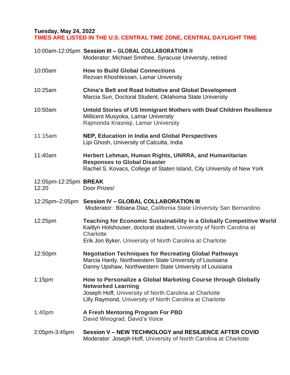#### **Tuesday, May 24, 2022 TIMES ARE LISTED IN THE U.S. CENTRAL TIME ZONE, CENTRAL DAYLIGHT TIME**

|                                | 10:00am-12:05pm Session III - GLOBAL COLLABORATION II<br>Moderator: Michael Smithee, Syracuse University, retired                                                                                                              |
|--------------------------------|--------------------------------------------------------------------------------------------------------------------------------------------------------------------------------------------------------------------------------|
| 10:00am                        | <b>How to Build Global Connections</b><br>Rezvan Khoshlessan, Lamar University                                                                                                                                                 |
| 10:25am                        | <b>China's Belt and Road Initiative and Global Development</b><br>Marcia Sun, Doctoral Student, Oklahoma State University                                                                                                      |
| 10:50am                        | Untold Stories of US Immigrant Mothers with Deaf Children Resilience<br>Millicent Musyoka, Lamar University<br>Rajmonda Krasniqi, Lamar University                                                                             |
| 11:15am                        | NEP, Education in India and Global Perspectives<br>Lipi Ghosh, University of Calcutta, India                                                                                                                                   |
| 11:40am                        | Herbert Lehman, Human Rights, UNRRA, and Humanitarian<br><b>Responses to Global Disaster</b><br>Rachel S. Kovacs, College of Staten Island, City University of New York                                                        |
| 12:05pm-12:25pm BREAK<br>12:20 | Door Prizes!                                                                                                                                                                                                                   |
|                                | 12:25pm-2:05pm Session IV - GLOBAL COLLABORATION III<br>Moderator: Bibiana Diaz, California State University San Bernardino                                                                                                    |
| 12:25pm                        | <b>Teaching for Economic Sustainability in a Globally Competitive World</b><br>Kaitlyn Holshouser, doctoral student, University of North Carolina at<br>Charlotte<br>Erik Jon Byker, University of North Carolina at Charlotte |
| 12:50pm                        | <b>Negotiation Techniques for Recreating Global Pathways</b><br>Marcia Hardy, Northwestern State University of Louisiana<br>Danny Upshaw, Northwestern State University of Louisiana                                           |
| $1:15$ pm                      | How to Personalize a Global Marketing Course through Globally<br><b>Networked Learning</b><br>Joseph Hoff, University of North Carolina at Charlotte<br>Lilly Raymond, University of North Carolina at Charlotte               |
| 1:40 <sub>pm</sub>             | A Fresh Mentoring Program For PBD<br>David Winograd, David's Voice                                                                                                                                                             |
| 2:05pm-3:45pm                  | Session V - NEW TECHNOLOGY and RESILIENCE AFTER COVID<br>Moderator: Joseph Hoff, University of North Carolina at Charlotte                                                                                                     |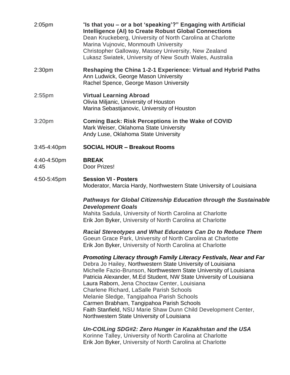| 2:05pm              | "Is that you - or a bot 'speaking'?" Engaging with Artificial<br><b>Intelligence (AI) to Create Robust Global Connections</b><br>Dean Kruckeberg, University of North Carolina at Charlotte<br>Marina Vujnovic, Monmouth University<br>Christopher Galloway, Massey University, New Zealand<br>Lukasz Swiatek, University of New South Wales, Australia |
|---------------------|---------------------------------------------------------------------------------------------------------------------------------------------------------------------------------------------------------------------------------------------------------------------------------------------------------------------------------------------------------|
| 2:30pm              | Reshaping the China 1-2-1 Experience: Virtual and Hybrid Paths<br>Ann Ludwick, George Mason University<br>Rachel Spence, George Mason University                                                                                                                                                                                                        |
| $2:55$ pm           | <b>Virtual Learning Abroad</b><br>Olivia Miljanic, University of Houston<br>Marina Sebastijanovic, University of Houston                                                                                                                                                                                                                                |
| 3:20 <sub>pm</sub>  | <b>Coming Back: Risk Perceptions in the Wake of COVID</b><br>Mark Weiser, Oklahoma State University<br>Andy Luse, Oklahoma State University                                                                                                                                                                                                             |
| 3:45-4:40pm         | <b>SOCIAL HOUR - Breakout Rooms</b>                                                                                                                                                                                                                                                                                                                     |
| 4:40-4:50pm<br>4:45 | <b>BREAK</b><br>Door Prizes!                                                                                                                                                                                                                                                                                                                            |
| 4:50-5:45pm         | <b>Session VI - Posters</b><br>Moderator, Marcia Hardy, Northwestern State University of Louisiana                                                                                                                                                                                                                                                      |
|                     | <b>Pathways for Global Citizenship Education through the Sustainable</b><br><b>Development Goals</b><br>Mahita Sadula, University of North Carolina at Charlotte<br>Erik Jon Byker, University of North Carolina at Charlotte                                                                                                                           |
|                     | <b>Racial Stereotypes and What Educators Can Do to Reduce Them</b><br>Goeun Grace Park, University of North Carolina at Charlotte<br>Erik Jon Byker, University of North Carolina at Charlotte                                                                                                                                                          |

#### *Promoting Literacy through Family Literacy Festivals, Near and Far*

Debra Jo Hailey, Northwestern State University of Louisiana Michelle Fazio-Brunson, Northwestern State University of Louisiana Patricia Alexander, M.Ed Student, NW State University of Louisiana Laura Raborn, Jena Choctaw Center, Louisiana Charlene Richard, LaSalle Parish Schools Melanie Sledge, Tangipahoa Parish Schools Carmen Brabham, Tangipahoa Parish Schools Faith Stanfield, NSU Marie Shaw Dunn Child Development Center, Northwestern State University of Louisiana

*Un-COILing SDG#2: Zero Hunger in Kazakhstan and the USA* Korinne Talley, University of North Carolina at Charlotte Erik Jon Byker, University of North Carolina at Charlotte